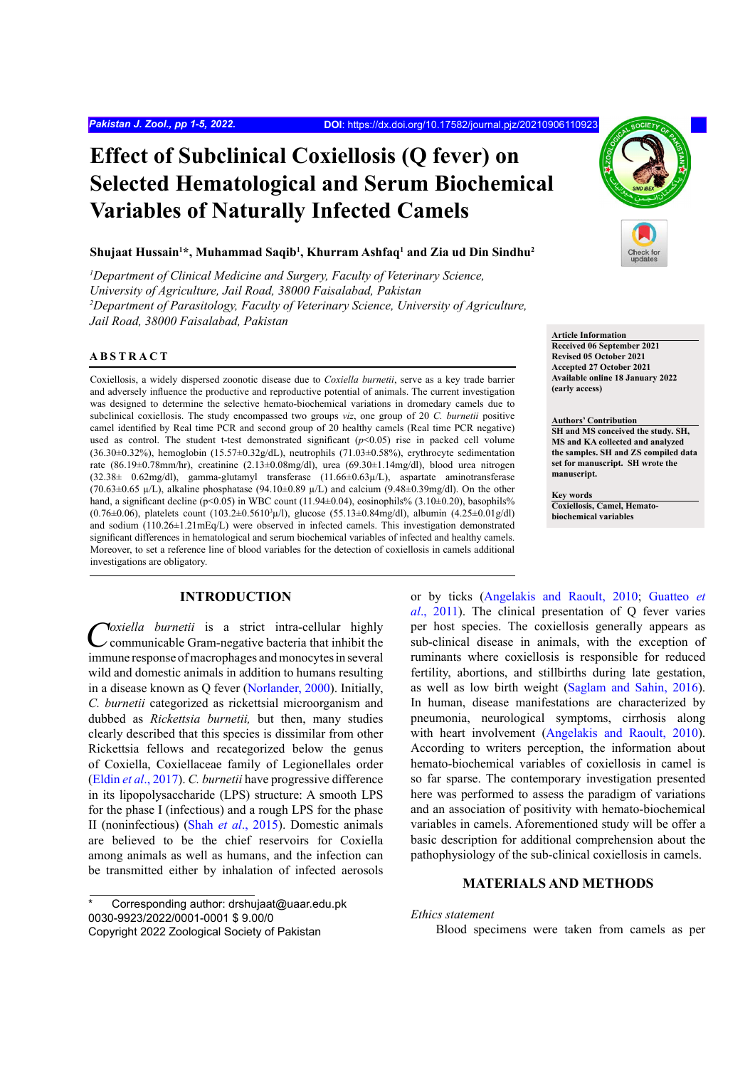# **Effect of Subclinical Coxiellosis (Q fever) on Selected Hematological and Serum Biochemical Variables of Naturally Infected Camels**

## **Shujaat Hussain1 \*, Muhammad Saqib1 , Khurram Ashfaq1 and Zia ud Din Sindhu2**

<sup>1</sup>Department of Clinical Medicine and Surgery, Faculty of Veterinary Science, *University of Agriculture, Jail Road, 38000 Faisalabad, Pakistan 2 Department of Parasitology, Faculty of Veterinary Science, University of Agriculture, Jail Road, 38000 Faisalabad, Pakistan*

## **ABSTRACT**

Coxiellosis, a widely dispersed zoonotic disease due to *Coxiella burnetii*, serve as a key trade barrier and adversely influence the productive and reproductive potential of animals. The current investigation was designed to determine the selective hemato-biochemical variations in dromedary camels due to subclinical coxiellosis. The study encompassed two groups *viz*, one group of 20 *C. burnetii* positive camel identified by Real time PCR and second group of 20 healthy camels (Real time PCR negative) used as control. The student t-test demonstrated significant  $(p<0.05)$  rise in packed cell volume  $(36.30\pm0.32\%)$ , hemoglobin  $(15.57\pm0.32g/dL)$ , neutrophils  $(71.03\pm0.58\%)$ , erythrocyte sedimentation rate (86.19±0.78mm/hr), creatinine (2.13±0.08mg/dl), urea (69.30±1.14mg/dl), blood urea nitrogen (32.38± 0.62mg/dl), gamma-glutamyl transferase (11.66±0.63µ/L), aspartate aminotransferase  $(70.63\pm0.65 \mu/L)$ , alkaline phosphatase  $(94.10\pm0.89 \mu/L)$  and calcium  $(9.48\pm0.39 \text{mg/dl})$ . On the other hand, a significant decline (p<0.05) in WBC count (11.94±0.04), eosinophils% (3.10±0.20), basophils%  $(0.76 \pm 0.06)$ , platelets count  $(103.2 \pm 0.5610^3 \mu/l)$ , glucose  $(55.13 \pm 0.84 \text{mg/dl})$ , albumin  $(4.25 \pm 0.01 \text{g/dl})$ and sodium (110.26±1.21mEq/L) were observed in infected camels. This investigation demonstrated significant differences in hematological and serum biochemical variables of infected and healthy camels. Moreover, to set a reference line of blood variables for the detection of coxiellosis in camels additional investigations are obligatory.

# **INTRODUCTION**

Coxiella burnetii is a strict intra-cellular highly<br>
communicable Gram-negative bacteria that inhibit the immune response of macrophages and monocytes in several wild and domestic animals in addition to humans resulting in a disease known as Q fever [\(Norlander, 2000](#page-4-0)). Initially, *C. burnetii* categorized as rickettsial microorganism and dubbed as *Rickettsia burnetii,* but then, many studies clearly described that this species is dissimilar from other Rickettsia fellows and recategorized below the genus of Coxiella, Coxiellaceae family of Legionellales order (Eldin *et al*[., 2017\)](#page-4-1). *C. burnetii* have progressive difference in its lipopolysaccharide (LPS) structure: A smooth LPS for the phase I (infectious) and a rough LPS for the phase II (noninfectious) (Shah *et al*[., 2015](#page-4-2)). Domestic animals are believed to be the chief reservoirs for Coxiella among animals as well as humans, and the infection can be transmitted either by inhalation of infected aerosols

Corresponding author: drshujaat@uaar.edu.pk 0030-9923/2022/0001-0001 \$ 9.00/0 Copyright 2022 Zoological Society of Pakistan



**Article Information Received 06 September 2021 Revised 05 October 2021 Accepted 27 October 2021 Available online 18 January 2022 (early access)**

**Authors' Contribution SH and MS conceived the study. SH, MS and KA collected and analyzed the samples. SH and ZS compiled data set for manuscript. SH wrote the manuscript.** 

**Key words Coxiellosis, Camel, Hematobiochemical variables**

or by ticks ([Angelakis and Raoult, 2010](#page-4-3); [Guatteo](#page-4-4) *et al*[., 2011](#page-4-4)). The clinical presentation of Q fever varies per host species. The coxiellosis generally appears as sub-clinical disease in animals, with the exception of ruminants where coxiellosis is responsible for reduced fertility, abortions, and stillbirths during late gestation, as well as low birth weight [\(Saglam and Sahin, 2016\)](#page-4-5). In human, disease manifestations are characterized by pneumonia, neurological symptoms, cirrhosis along with heart involvement ([Angelakis and Raoult, 2010\)](#page-4-3). According to writers perception, the information about hemato-biochemical variables of coxiellosis in camel is so far sparse. The contemporary investigation presented here was performed to assess the paradigm of variations and an association of positivity with hemato-biochemical variables in camels. Aforementioned study will be offer a basic description for additional comprehension about the pathophysiology of the sub-clinical coxiellosis in camels.

# **MATERIALS AND METHODS**

*Ethics statement* 

Blood specimens were taken from camels as per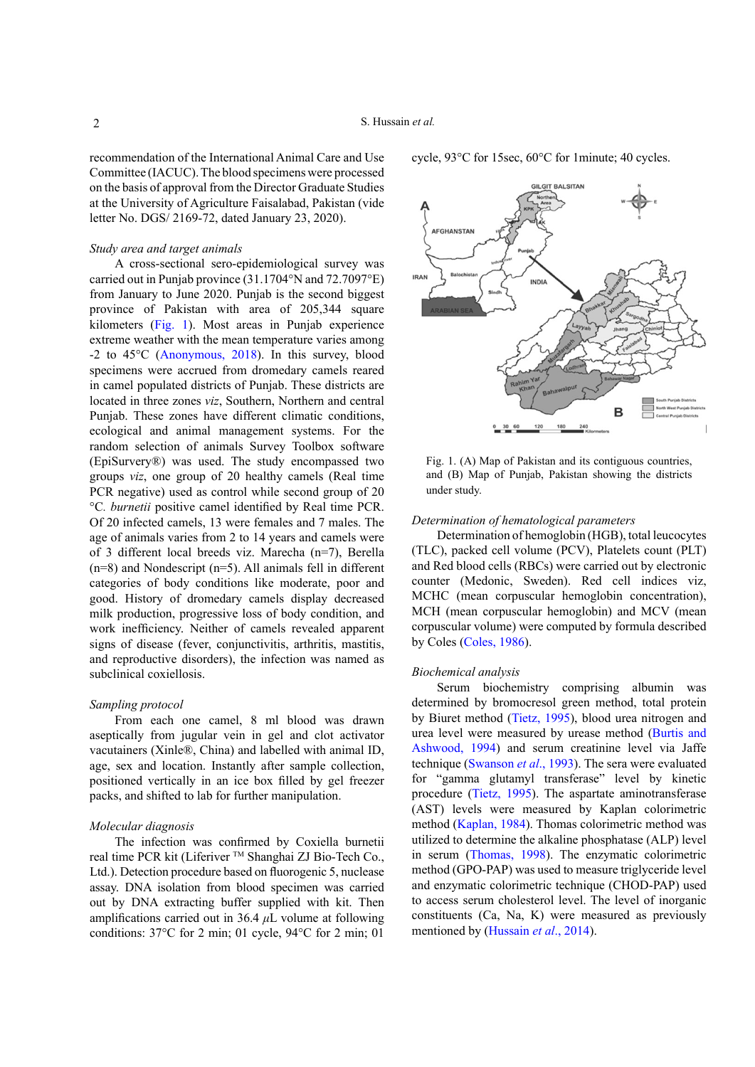recommendation of the International Animal Care and Use Committee (IACUC). The blood specimens were processed on the basis of approval from the Director Graduate Studies at the University of Agriculture Faisalabad, Pakistan (vide letter No. DGS/ 2169-72, dated January 23, 2020).

## *Study area and target animals*

A cross-sectional sero-epidemiological survey was carried out in Punjab province (31.1704°N and 72.7097°E) from January to June 2020. Punjab is the second biggest province of Pakistan with area of 205,344 square kilometers [\(Fig. 1\)](#page-1-0). Most areas in Punjab experience extreme weather with the mean temperature varies among -2 to 45°C [\(Anonymous, 2018\)](#page-4-6). In this survey, blood specimens were accrued from dromedary camels reared in camel populated districts of Punjab. These districts are located in three zones *viz*, Southern, Northern and central Punjab. These zones have different climatic conditions, ecological and animal management systems. For the random selection of animals Survey Toolbox software (EpiSurvery®) was used. The study encompassed two groups *viz*, one group of 20 healthy camels (Real time PCR negative) used as control while second group of 20 °C*. burnetii* positive camel identified by Real time PCR. Of 20 infected camels, 13 were females and 7 males. The age of animals varies from 2 to 14 years and camels were of 3 different local breeds viz. Marecha (n=7), Berella (n=8) and Nondescript (n=5). All animals fell in different categories of body conditions like moderate, poor and good. History of dromedary camels display decreased milk production, progressive loss of body condition, and work inefficiency. Neither of camels revealed apparent signs of disease (fever, conjunctivitis, arthritis, mastitis, and reproductive disorders), the infection was named as subclinical coxiellosis.

## *Sampling protocol*

From each one camel, 8 ml blood was drawn aseptically from jugular vein in gel and clot activator vacutainers (Xinle®, China) and labelled with animal ID, age, sex and location. Instantly after sample collection, positioned vertically in an ice box filled by gel freezer packs, and shifted to lab for further manipulation.

## *Molecular diagnosis*

The infection was confirmed by Coxiella burnetii real time PCR kit (Liferiver ™ Shanghai ZJ Bio-Tech Co., Ltd.). Detection procedure based on fluorogenic 5, nuclease assay. DNA isolation from blood specimen was carried out by DNA extracting buffer supplied with kit. Then amplifications carried out in 36.4 *μ*L volume at following conditions: 37°C for 2 min; 01 cycle, 94°C for 2 min; 01

cycle, 93°C for 15sec, 60°C for 1minute; 40 cycles.



<span id="page-1-0"></span>Fig. 1. (A) Map of Pakistan and its contiguous countries, and (B) Map of Punjab, Pakistan showing the districts under study.

# *Determination of hematological parameters*

Determination of hemoglobin (HGB), total leucocytes (TLC), packed cell volume (PCV), Platelets count (PLT) and Red blood cells (RBCs) were carried out by electronic counter (Medonic, Sweden). Red cell indices viz, MCHC (mean corpuscular hemoglobin concentration), MCH (mean corpuscular hemoglobin) and MCV (mean corpuscular volume) were computed by formula described by Coles ([Coles, 1986\)](#page-4-7).

#### *Biochemical analysis*

Serum biochemistry comprising albumin was determined by bromocresol green method, total protein by Biuret method ([Tietz, 1995\)](#page-4-8), blood urea nitrogen and urea level were measured by urease method ([Burtis and](#page-4-9) [Ashwood, 1994](#page-4-9)) and serum creatinine level via Jaffe technique [\(Swanson](#page-4-10) *et al*., 1993). The sera were evaluated for "gamma glutamyl transferase" level by kinetic procedure [\(Tietz, 1995](#page-4-8)). The aspartate aminotransferase (AST) levels were measured by Kaplan colorimetric method ([Kaplan, 1984\)](#page-4-11). Thomas colorimetric method was utilized to determine the alkaline phosphatase (ALP) level in serum ([Thomas, 1998\)](#page-4-12). The enzymatic colorimetric method (GPO-PAP) was used to measure triglyceride level and enzymatic colorimetric technique (CHOD-PAP) used to access serum cholesterol level. The level of inorganic constituents (Ca, Na, K) were measured as previously mentioned by [\(Hussain](#page-4-13) *et al*., 2014).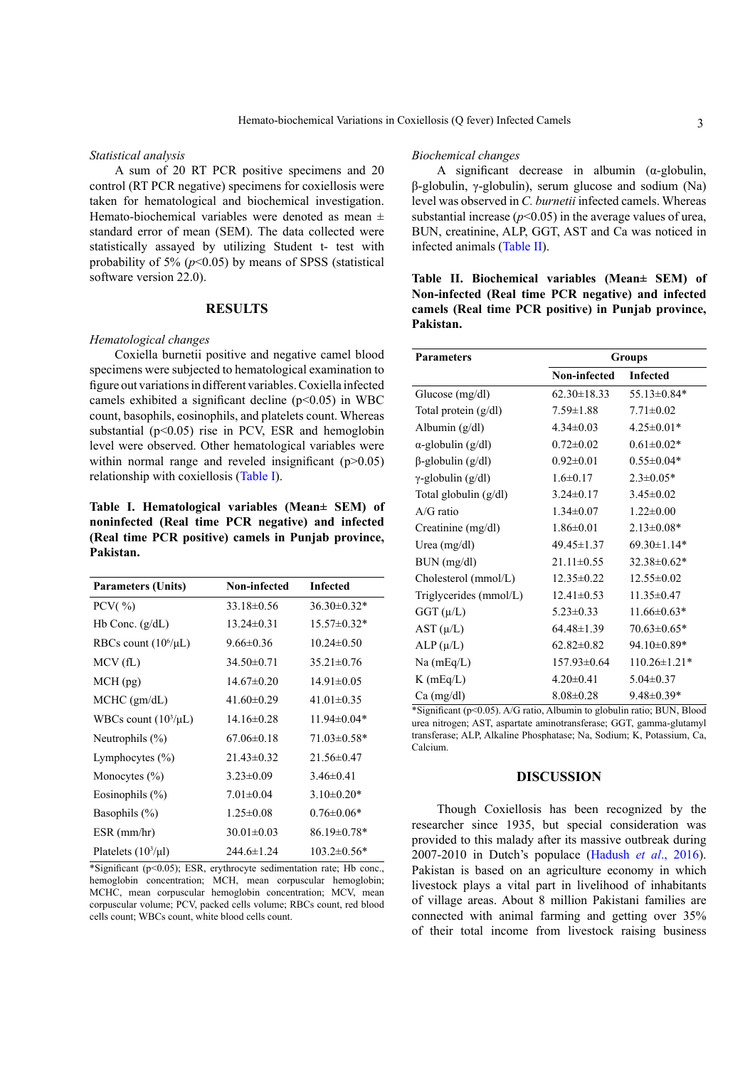#### *Statistical analysis*

A sum of 20 RT PCR positive specimens and 20 control (RT PCR negative) specimens for coxiellosis were taken for hematological and biochemical investigation. Hemato-biochemical variables were denoted as mean  $\pm$ standard error of mean (SEM). The data collected were statistically assayed by utilizing Student t- test with probability of 5%  $(p<0.05)$  by means of SPSS (statistical software version 22.0).

## **RESULTS**

## *Hematological changes*

Coxiella burnetii positive and negative camel blood specimens were subjected to hematological examination to figure out variations in different variables. Coxiella infected camels exhibited a significant decline  $(p<0.05)$  in WBC count, basophils, eosinophils, and platelets count. Whereas substantial ( $p<0.05$ ) rise in PCV, ESR and hemoglobin level were observed. Other hematological variables were within normal range and reveled insignificant  $(p>0.05)$ relationship with coxiellosis [\(Table I](#page-2-0)).

<span id="page-2-0"></span>**Table I. Hematological variables (Mean± SEM) of noninfected (Real time PCR negative) and infected (Real time PCR positive) camels in Punjab province, Pakistan.**

| <b>Parameters (Units)</b> | Non-infected     | <b>Infected</b>   |
|---------------------------|------------------|-------------------|
| PCV $(\frac{9}{0})$       | $33.18 \pm 0.56$ | $36.30\pm0.32*$   |
| $Hb$ Conc. $(g/dL)$       | $13.24 \pm 0.31$ | $15.57 \pm 0.32*$ |
| RBCs count $(10^6/\mu L)$ | $9.66 \pm 0.36$  | $10.24 \pm 0.50$  |
| MCV(fL)                   | $34.50 \pm 0.71$ | $35.21 \pm 0.76$  |
| MCH (pg)                  | $14.67 \pm 0.20$ | $14.91 \pm 0.05$  |
| MCHC (gm/dL)              | $41.60 \pm 0.29$ | $41.01 \pm 0.35$  |
| WBCs count $(10^3/\mu L)$ | $14.16\pm0.28$   | $11.94 \pm 0.04*$ |
| Neutrophils $(\% )$       | $67.06 \pm 0.18$ | $71.03 \pm 0.58*$ |
| Lymphocytes $(\% )$       | $21.43 \pm 0.32$ | $21.56 \pm 0.47$  |
| Monocytes $(\% )$         | $3.23 \pm 0.09$  | $3.46 \pm 0.41$   |
| Eosinophils $(\% )$       | $7.01 \pm 0.04$  | $3.10 \pm 0.20*$  |
| Basophils $(\% )$         | $1.25 \pm 0.08$  | $0.76 \pm 0.06*$  |
| $ESR$ (mm/hr)             | $30.01 \pm 0.03$ | 86.19±0.78*       |
| Platelets $(10^3/\mu l)$  | $244.6 \pm 1.24$ | $103.2 \pm 0.56*$ |

\*Significant ( $p<0.05$ ); ESR, erythrocyte sedimentation rate; Hb conc., hemoglobin concentration; MCH, mean corpuscular hemoglobin; MCHC, mean corpuscular hemoglobin concentration; MCV, mean corpuscular volume; PCV, packed cells volume; RBCs count, red blood cells count; WBCs count, white blood cells count.

## *Biochemical changes*

A significant decrease in albumin  $(\alpha$ -globulin, β-globulin, γ-globulin), serum glucose and sodium (Na) level was observed in *C. burnetii* infected camels. Whereas substantial increase  $(p<0.05)$  in the average values of urea, BUN, creatinine, ALP, GGT, AST and Ca was noticed in infected animals [\(Table II\)](#page-2-1).

<span id="page-2-1"></span>**Table II. Biochemical variables (Mean± SEM) of Non-infected (Real time PCR negative) and infected camels (Real time PCR positive) in Punjab province, Pakistan.**

| <b>Parameters</b>         | Groups            |                    |
|---------------------------|-------------------|--------------------|
|                           | Non-infected      | <b>Infected</b>    |
| Glucose (mg/dl)           | $62.30 \pm 18.33$ | 55.13 $\pm$ 0.84*  |
| Total protein $(g/dl)$    | $7.59 \pm 1.88$   | $7.71 \pm 0.02$    |
| Albumin $(g/dl)$          | $4.34 \pm 0.03$   | $4.25 \pm 0.01*$   |
| $\alpha$ -globulin (g/dl) | $0.72 \pm 0.02$   | $0.61 \pm 0.02*$   |
| $\beta$ -globulin (g/dl)  | $0.92 \pm 0.01$   | $0.55 \pm 0.04*$   |
| $\gamma$ -globulin (g/dl) | $1.6 \pm 0.17$    | $2.3 \pm 0.05*$    |
| Total globulin (g/dl)     | $3.24 \pm 0.17$   | $3.45 \pm 0.02$    |
| $A/G$ ratio               | $1.34 \pm 0.07$   | $1.22 \pm 0.00$    |
| Creatinine (mg/dl)        | $1.86 \pm 0.01$   | $2.13 \pm 0.08*$   |
| Urea $(mg/dl)$            | $49.45 \pm 1.37$  | $69.30 \pm 1.14*$  |
| BUN (mg/dl)               | $21.11 \pm 0.55$  | $32.38 \pm 0.62*$  |
| Cholesterol (mmol/L)      | $12.35 \pm 0.22$  | $12.55 \pm 0.02$   |
| Triglycerides (mmol/L)    | $12.41 \pm 0.53$  | $11.35 \pm 0.47$   |
| $GGT(\mu/L)$              | $5.23 \pm 0.33$   | $11.66 \pm 0.63*$  |
| AST (µ/L)                 | $64.48 \pm 1.39$  | $70.63 \pm 0.65*$  |
| $ALP(\mu/L)$              | $62.82 \pm 0.82$  | $94.10\pm0.89*$    |
| $Na$ (mEq/L)              | $157.93 \pm 0.64$ | $110.26 \pm 1.21*$ |
| $K$ (mEq/L)               | $4.20 \pm 0.41$   | $5.04 \pm 0.37$    |
| $Ca$ (mg/dl)              | $8.08 \pm 0.28$   | $9.48 \pm 0.39*$   |

\*Significant (p<0.05). A/G ratio, Albumin to globulin ratio; BUN, Blood urea nitrogen; AST, aspartate aminotransferase; GGT, gamma-glutamyl transferase; ALP, Alkaline Phosphatase; Na, Sodium; K, Potassium, Ca, Calcium.

# **DISCUSSION**

Though Coxiellosis has been recognized by the researcher since 1935, but special consideration was provided to this malady after its massive outbreak during 2007-2010 in Dutch's populace [\(Hadush](#page-4-14) *et al*., 2016). Pakistan is based on an agriculture economy in which livestock plays a vital part in livelihood of inhabitants of village areas. About 8 million Pakistani families are connected with animal farming and getting over 35% of their total income from livestock raising business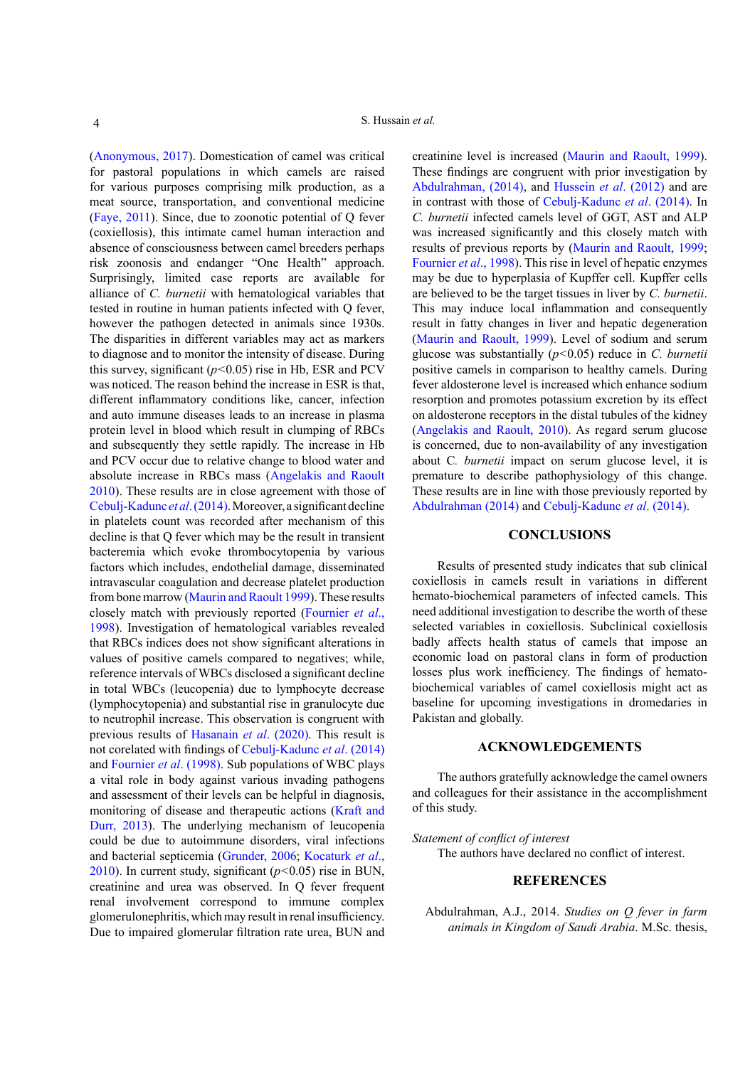[\(Anonymous, 2017](#page-4-15)). Domestication of camel was critical for pastoral populations in which camels are raised for various purposes comprising milk production, as a meat source, transportation, and conventional medicine [\(Faye, 2011\)](#page-4-16). Since, due to zoonotic potential of Q fever (coxiellosis), this intimate camel human interaction and absence of consciousness between camel breeders perhaps risk zoonosis and endanger "One Health" approach. Surprisingly, limited case reports are available for alliance of *C. burnetii* with hematological variables that tested in routine in human patients infected with Q fever, however the pathogen detected in animals since 1930s. The disparities in different variables may act as markers to diagnose and to monitor the intensity of disease. During this survey, significant (*p<*0.05) rise in Hb, ESR and PCV was noticed. The reason behind the increase in ESR is that, different inflammatory conditions like, cancer, infection and auto immune diseases leads to an increase in plasma protein level in blood which result in clumping of RBCs and subsequently they settle rapidly. The increase in Hb and PCV occur due to relative change to blood water and absolute increase in RBCs mass [\(Angelakis and Raoult](#page-4-3) [2010\)](#page-4-3). These results are in close agreement with those of [Cebulj-Kadunc](#page-4-17) *et al*. (2014). Moreover, a significant decline in platelets count was recorded after mechanism of this decline is that Q fever which may be the result in transient bacteremia which evoke thrombocytopenia by various factors which includes, endothelial damage, disseminated intravascular coagulation and decrease platelet production from bone marrow ([Maurin and Raoult 1999](#page-4-18)). These results closely match with previously reported ([Fournier](#page-4-19) *et al*., [1998\)](#page-4-19). Investigation of hematological variables revealed that RBCs indices does not show significant alterations in values of positive camels compared to negatives; while, reference intervals of WBCs disclosed a significant decline in total WBCs (leucopenia) due to lymphocyte decrease (lymphocytopenia) and substantial rise in granulocyte due to neutrophil increase. This observation is congruent with previous results of [Hasanain](#page-4-20) *et al*. (2020). This result is not corelated with findings of [Cebulj-Kadunc](#page-4-17) *et al*. (2014) and [Fournier](#page-4-19) *et al*. (1998). Sub populations of WBC plays a vital role in body against various invading pathogens and assessment of their levels can be helpful in diagnosis, monitoring of disease and therapeutic actions [\(Kraft and](#page-4-21) [Durr, 2013\)](#page-4-21). The underlying mechanism of leucopenia could be due to autoimmune disorders, viral infections and bacterial septicemia [\(Grunder, 2006](#page-4-22); Kocaturk *et al*., 2010). In current study, significant (*p<*0.05) rise in BUN, creatinine and urea was observed. In Q fever frequent renal involvement correspond to immune complex glomerulonephritis, which may result in renal insufficiency. Due to impaired glomerular filtration rate urea, BUN and

creatinine level is increased [\(Maurin and Raoult, 1999](#page-4-18)). These findings are congruent with prior investigation by [Abdulrahman, \(2014\)](#page-3-0), and [Hussein](#page-4-23) *et al*. (2012) and are in contrast with those of [Cebulj-Kadunc](#page-4-17) *et al*. (2014). In *C. burnetii* infected camels level of GGT, AST and ALP was increased significantly and this closely match with results of previous reports by ([Maurin and Raoult, 1999](#page-4-18); [Fournier](#page-4-19) *et al*., 1998). This rise in level of hepatic enzymes may be due to hyperplasia of Kupffer cell. Kupffer cells are believed to be the target tissues in liver by *C. burnetii*. This may induce local inflammation and consequently result in fatty changes in liver and hepatic degeneration [\(Maurin and Raoult, 1999](#page-4-18)). Level of sodium and serum glucose was substantially (*p<*0.05) reduce in *C. burnetii* positive camels in comparison to healthy camels. During fever aldosterone level is increased which enhance sodium resorption and promotes potassium excretion by its effect on aldosterone receptors in the distal tubules of the kidney [\(Angelakis and Raoult, 2010\)](#page-4-3). As regard serum glucose is concerned, due to non-availability of any investigation about C*. burnetii* impact on serum glucose level, it is premature to describe pathophysiology of this change. These results are in line with those previously reported by [Abdulrahman \(2014\)](#page-3-0) and [Cebulj-Kadunc](#page-4-17) *et al*. (2014).

# **CONCLUSIONS**

Results of presented study indicates that sub clinical coxiellosis in camels result in variations in different hemato-biochemical parameters of infected camels. This need additional investigation to describe the worth of these selected variables in coxiellosis. Subclinical coxiellosis badly affects health status of camels that impose an economic load on pastoral clans in form of production losses plus work inefficiency. The findings of hematobiochemical variables of camel coxiellosis might act as baseline for upcoming investigations in dromedaries in Pakistan and globally.

## **ACKNOWLEDGEMENTS**

The authors gratefully acknowledge the camel owners and colleagues for their assistance in the accomplishment of this study.

#### *Statement of conflict of interest*

The authors have declared no conflict of interest.

## **REFERENCES**

<span id="page-3-0"></span>Abdulrahman, A.J., 2014. *Studies on Q fever in farm animals in Kingdom of Saudi Arabia*. M.Sc. thesis,